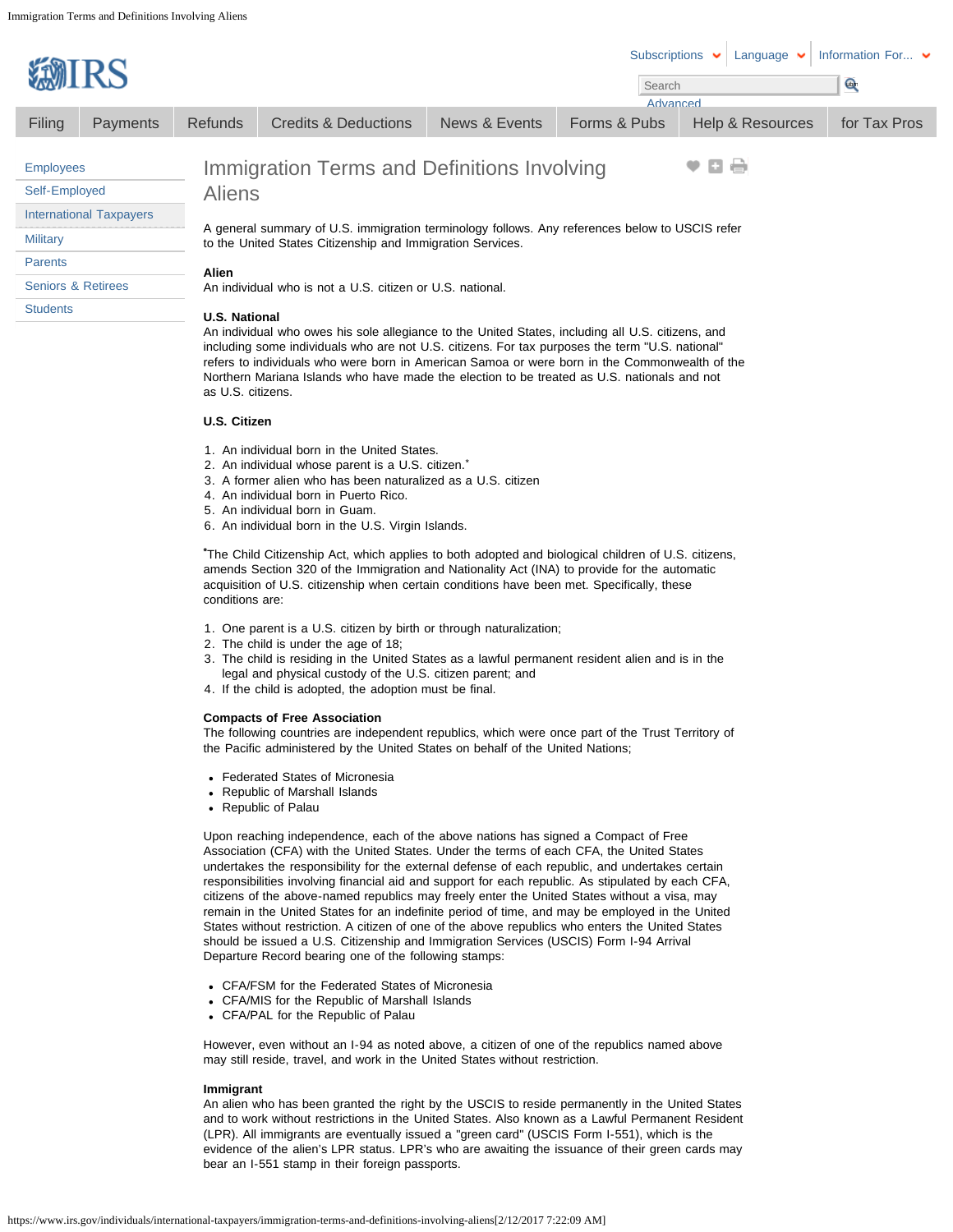| <b>WIRS</b>                                                                                                                                                                                                                                                                                                                                                                                          |                 | Subscriptions $\bullet$<br>Language $\blacktriangleright$<br>Search                                                                                                                    | Information For $\blacktriangleright$<br><b>Com</b> |               |              |                             |              |  |  |
|------------------------------------------------------------------------------------------------------------------------------------------------------------------------------------------------------------------------------------------------------------------------------------------------------------------------------------------------------------------------------------------------------|-----------------|----------------------------------------------------------------------------------------------------------------------------------------------------------------------------------------|-----------------------------------------------------|---------------|--------------|-----------------------------|--------------|--|--|
|                                                                                                                                                                                                                                                                                                                                                                                                      |                 |                                                                                                                                                                                        |                                                     | News & Events | Advanced     |                             |              |  |  |
| Filing                                                                                                                                                                                                                                                                                                                                                                                               | <b>Payments</b> | <b>Refunds</b>                                                                                                                                                                         | Credits & Deductions                                |               | Forms & Pubs | <b>Help &amp; Resources</b> | for Tax Pros |  |  |
| <b>Employees</b>                                                                                                                                                                                                                                                                                                                                                                                     |                 | v 8 8<br>Immigration Terms and Definitions Involving                                                                                                                                   |                                                     |               |              |                             |              |  |  |
| Self-Employed                                                                                                                                                                                                                                                                                                                                                                                        |                 | <b>Aliens</b><br>A general summary of U.S. immigration terminology follows. Any references below to USCIS refer<br>to the United States Citizenship and Immigration Services.<br>Alien |                                                     |               |              |                             |              |  |  |
| <b>International Taxpayers</b>                                                                                                                                                                                                                                                                                                                                                                       |                 |                                                                                                                                                                                        |                                                     |               |              |                             |              |  |  |
| <b>Military</b>                                                                                                                                                                                                                                                                                                                                                                                      |                 |                                                                                                                                                                                        |                                                     |               |              |                             |              |  |  |
| <b>Parents</b>                                                                                                                                                                                                                                                                                                                                                                                       |                 |                                                                                                                                                                                        |                                                     |               |              |                             |              |  |  |
| <b>Seniors &amp; Retirees</b>                                                                                                                                                                                                                                                                                                                                                                        |                 | An individual who is not a U.S. citizen or U.S. national.                                                                                                                              |                                                     |               |              |                             |              |  |  |
| <b>Students</b>                                                                                                                                                                                                                                                                                                                                                                                      |                 | <b>U.S. National</b>                                                                                                                                                                   |                                                     |               |              |                             |              |  |  |
| An individual who owes his sole allegiance to the United States, including all U.S. citizens, and<br>including some individuals who are not U.S. citizens. For tax purposes the term "U.S. national"<br>refers to individuals who were born in American Samoa or were born in the Commonwealth of the<br>Northern Mariana Islands who have made the election to be treated as U.S. nationals and not |                 |                                                                                                                                                                                        |                                                     |               |              |                             |              |  |  |

**U.S. Citizen**

as U.S. citizens.

- 1. An individual born in the United States.
- 2. An individual whose parent is a U.S. citizen.<sup>\*</sup>
- 3. A former alien who has been naturalized as a U.S. citizen
- 4. An individual born in Puerto Rico.
- 5. An individual born in Guam.
- 6. An individual born in the U.S. Virgin Islands.

\*The Child Citizenship Act, which applies to both adopted and biological children of U.S. citizens, amends Section 320 of the Immigration and Nationality Act (INA) to provide for the automatic acquisition of U.S. citizenship when certain conditions have been met. Specifically, these conditions are:

- 1. One parent is a U.S. citizen by birth or through naturalization;
- 2. The child is under the age of 18;
- 3. The child is residing in the United States as a lawful permanent resident alien and is in the legal and physical custody of the U.S. citizen parent; and
- 4. If the child is adopted, the adoption must be final.

# **Compacts of Free Association**

The following countries are independent republics, which were once part of the Trust Territory of the Pacific administered by the United States on behalf of the United Nations;

- Federated States of Micronesia
- Republic of Marshall Islands
- Republic of Palau

Upon reaching independence, each of the above nations has signed a Compact of Free Association (CFA) with the United States. Under the terms of each CFA, the United States undertakes the responsibility for the external defense of each republic, and undertakes certain responsibilities involving financial aid and support for each republic. As stipulated by each CFA, citizens of the above-named republics may freely enter the United States without a visa, may remain in the United States for an indefinite period of time, and may be employed in the United States without restriction. A citizen of one of the above republics who enters the United States should be issued a U.S. Citizenship and Immigration Services (USCIS) Form I-94 Arrival Departure Record bearing one of the following stamps:

- CFA/FSM for the Federated States of Micronesia
- CFA/MIS for the Republic of Marshall Islands
- CFA/PAL for the Republic of Palau

However, even without an I-94 as noted above, a citizen of one of the republics named above may still reside, travel, and work in the United States without restriction.

# **Immigrant**

An alien who has been granted the right by the USCIS to reside permanently in the United States and to work without restrictions in the United States. Also known as a Lawful Permanent Resident (LPR). All immigrants are eventually issued a "green card" (USCIS Form I-551), which is the evidence of the alien's LPR status. LPR's who are awaiting the issuance of their green cards may bear an I-551 stamp in their foreign passports.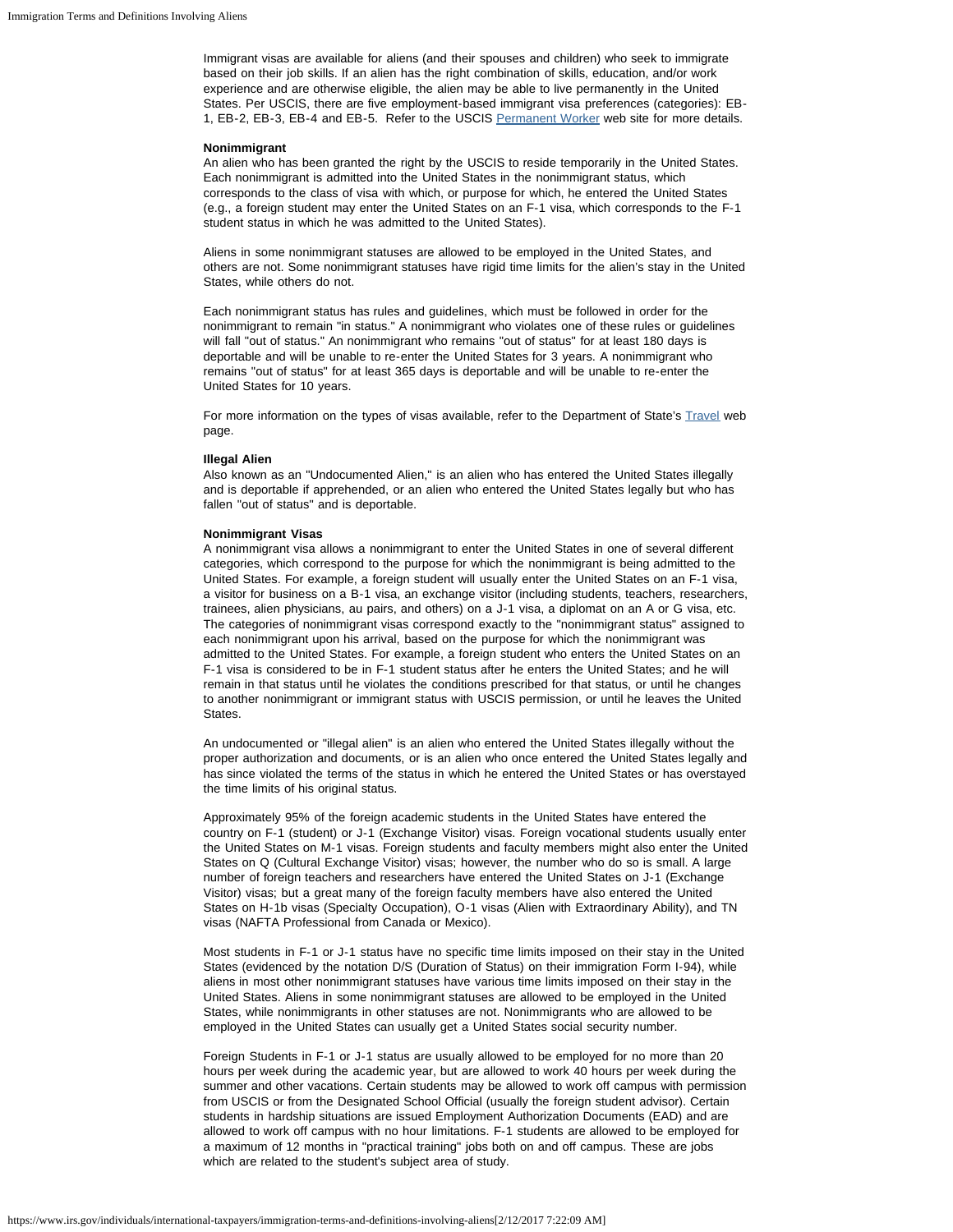Immigrant visas are available for aliens (and their spouses and children) who seek to immigrate based on their job skills. If an alien has the right combination of skills, education, and/or work experience and are otherwise eligible, the alien may be able to live permanently in the United States. Per USCIS, there are five employment-based immigrant visa preferences (categories): EB-1, EB-2, EB-3, EB-4 and EB-5. Refer to the USCIS [Permanent Worker](http://www.uscis.gov/working-united-states/permanent-workers) web site for more details.

### **Nonimmigrant**

An alien who has been granted the right by the USCIS to reside temporarily in the United States. Each nonimmigrant is admitted into the United States in the nonimmigrant status, which corresponds to the class of visa with which, or purpose for which, he entered the United States (e.g., a foreign student may enter the United States on an F-1 visa, which corresponds to the F-1 student status in which he was admitted to the United States).

Aliens in some nonimmigrant statuses are allowed to be employed in the United States, and others are not. Some nonimmigrant statuses have rigid time limits for the alien's stay in the United States, while others do not.

Each nonimmigrant status has rules and guidelines, which must be followed in order for the nonimmigrant to remain "in status." A nonimmigrant who violates one of these rules or guidelines will fall "out of status." An nonimmigrant who remains "out of status" for at least 180 days is deportable and will be unable to re-enter the United States for 3 years. A nonimmigrant who remains "out of status" for at least 365 days is deportable and will be unable to re-enter the United States for 10 years.

For more information on the types of visas available, refer to the Department of State's [Travel](http://www.state.gov/travel/) web page.

### **Illegal Alien**

Also known as an "Undocumented Alien," is an alien who has entered the United States illegally and is deportable if apprehended, or an alien who entered the United States legally but who has fallen "out of status" and is deportable.

#### **Nonimmigrant Visas**

A nonimmigrant visa allows a nonimmigrant to enter the United States in one of several different categories, which correspond to the purpose for which the nonimmigrant is being admitted to the United States. For example, a foreign student will usually enter the United States on an F-1 visa, a visitor for business on a B-1 visa, an exchange visitor (including students, teachers, researchers, trainees, alien physicians, au pairs, and others) on a J-1 visa, a diplomat on an A or G visa, etc. The categories of nonimmigrant visas correspond exactly to the "nonimmigrant status" assigned to each nonimmigrant upon his arrival, based on the purpose for which the nonimmigrant was admitted to the United States. For example, a foreign student who enters the United States on an F-1 visa is considered to be in F-1 student status after he enters the United States; and he will remain in that status until he violates the conditions prescribed for that status, or until he changes to another nonimmigrant or immigrant status with USCIS permission, or until he leaves the United States.

An undocumented or "illegal alien" is an alien who entered the United States illegally without the proper authorization and documents, or is an alien who once entered the United States legally and has since violated the terms of the status in which he entered the United States or has overstayed the time limits of his original status.

Approximately 95% of the foreign academic students in the United States have entered the country on F-1 (student) or J-1 (Exchange Visitor) visas. Foreign vocational students usually enter the United States on M-1 visas. Foreign students and faculty members might also enter the United States on Q (Cultural Exchange Visitor) visas; however, the number who do so is small. A large number of foreign teachers and researchers have entered the United States on J-1 (Exchange Visitor) visas; but a great many of the foreign faculty members have also entered the United States on H-1b visas (Specialty Occupation), O-1 visas (Alien with Extraordinary Ability), and TN visas (NAFTA Professional from Canada or Mexico).

Most students in F-1 or J-1 status have no specific time limits imposed on their stay in the United States (evidenced by the notation D/S (Duration of Status) on their immigration Form I-94), while aliens in most other nonimmigrant statuses have various time limits imposed on their stay in the United States. Aliens in some nonimmigrant statuses are allowed to be employed in the United States, while nonimmigrants in other statuses are not. Nonimmigrants who are allowed to be employed in the United States can usually get a United States social security number.

Foreign Students in F-1 or J-1 status are usually allowed to be employed for no more than 20 hours per week during the academic year, but are allowed to work 40 hours per week during the summer and other vacations. Certain students may be allowed to work off campus with permission from USCIS or from the Designated School Official (usually the foreign student advisor). Certain students in hardship situations are issued Employment Authorization Documents (EAD) and are allowed to work off campus with no hour limitations. F-1 students are allowed to be employed for a maximum of 12 months in "practical training" jobs both on and off campus. These are jobs which are related to the student's subject area of study.